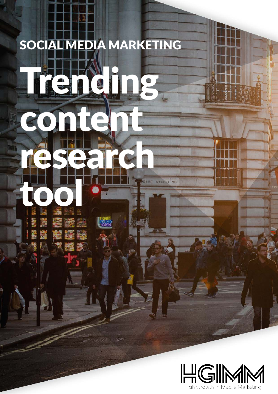# SOCIAL MEDIA MARKETING Trending content

research

**GALLER** 

STREET WE

tool a

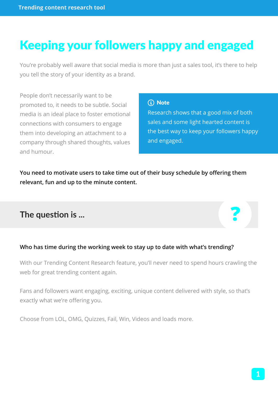## Keeping your followers happy and engaged

You're probably well aware that social media is more than just a sales tool, it's there to help you tell the story of your identity as a brand.

People don't necessarily want to be promoted to, it needs to be subtle. Social media is an ideal place to foster emotional connections with consumers to engage them into developing an attachment to a company through shared thoughts, values and humour.

#### (i) Note

Research shows that a good mix of both sales and some light hearted content is the best way to keep your followers happy and engaged.

**You need to motivate users to take time out of their busy schedule by offering them relevant, fun and up to the minute content.**

#### **The question is ...**

#### **Who has time during the working week to stay up to date with what's trending?**

With our Trending Content Research feature, you'll never need to spend hours crawling the web for great trending content again.

Fans and followers want engaging, exciting, unique content delivered with style, so that's exactly what we're offering you.

Choose from LOL, OMG, Quizzes, Fail, Win, Videos and loads more.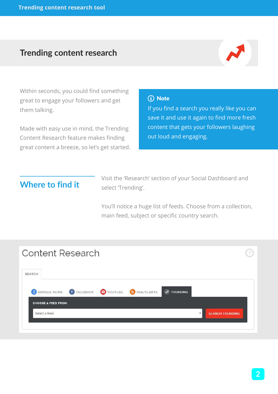#### **Trending content research**



Within seconds, you could find something great to engage your followers and get them talking.

Made with easy use in mind, the Trending Content Research feature makes finding great content a breeze, so let's get started.

#### (i) Note

If you find a search you really like you can save it and use it again to find more fresh content that gets your followers laughing out loud and engaging.

## **Where to find it**

Visit the 'Research' section of your Social Dashboard and select 'Trending'.

You'll notice a huge list of feeds. Choose from a collection, main feed, subject or specific country search.

| <b>Content Research</b>                                                                                   |                                                   |
|-----------------------------------------------------------------------------------------------------------|---------------------------------------------------|
| <b>SEARCH</b>                                                                                             |                                                   |
| 8 GOOGLE NEWS <b>f</b> FACEBOOK <b>O</b> YOUTUBE<br>N RSS/ALERTS<br>$\boldsymbol{\mu}$<br><b>TRENDING</b> |                                                   |
| <b>CHOOSE A FEED FROM:</b><br>Select a feed                                                               | <b>SEARCH TRENDING</b><br>$\overline{\mathbf{v}}$ |
|                                                                                                           |                                                   |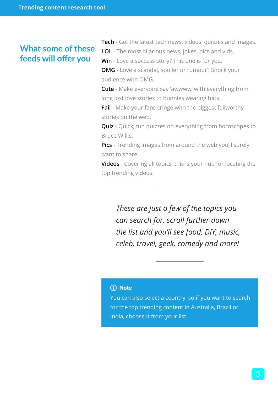### **What some of these feeds will offer you**

**Tech** - Get the latest tech news, videos, quizzes and images. **LOL** - The most hilarious news, jokes, pics and vids.

**Win** - Love a success story? This one is for you.

**OMG** - Love a scandal, spoiler or rumour? Shock your audience with OMG.

**Cute** - Make everyone say 'awwww' with everything from long lost love stories to bunnies wearing hats.

**Fail** - Make your fans cringe with the biggest failworthy stories on the web.

**Quiz** - Quick, fun quizzes on everything from horoscopes to Bruce Willis.

**Pics** - Trending images from around the web you'll surely want to share!

**Videos** - Covering all topics, this is your hub for locating the top trending videos.

*These are just a few of the topics you can search for, scroll further down the list and you'll see food, DIY, music, celeb, travel, geek, comedy and more!*

#### Note

You can also select a country, so if you want to search for the top trending content in Australia, Brazil or India, choose it from your list.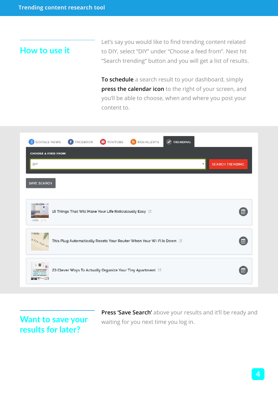#### **How to use it**

Let's say you would like to find trending content related to DIY, select "DIY" under "Choose a feed from". Next hit "Search trending" button and you will get a list of results.

**To schedule** a search result to your dashboard, simply **press the calendar icon** to the right of your screen, and you'll be able to choose, when and where you post your content to.

| 8 GOOGLE NEWS                                    | FACEBOOK P YOUTUBE<br>RSS/ALERTS<br>$M$ TRENDING                       |                        |
|--------------------------------------------------|------------------------------------------------------------------------|------------------------|
| <b>CHOOSE A FEED FROM:</b><br>DIY                |                                                                        | <b>SEARCH TRENDING</b> |
| <b>SAVE SEARCH</b><br>-THE FUTURE-<br><b>BAR</b> | 15 Things That Will Make Your Life Ridiculously Easy [3]               | lä                     |
| id little ilds<br>SFIX OUR WI                    | This Plug Automatically Resets Your Router When Your Wi-Fi Is Down [3] | E                      |
|                                                  | 23 Clever Ways To Actually Organize Your Tiny Apartment L'             | lêi                    |

## **Want to save your results for later?**

**Press 'Save Search'** above your results and it'll be ready and waiting for you next time you log in.